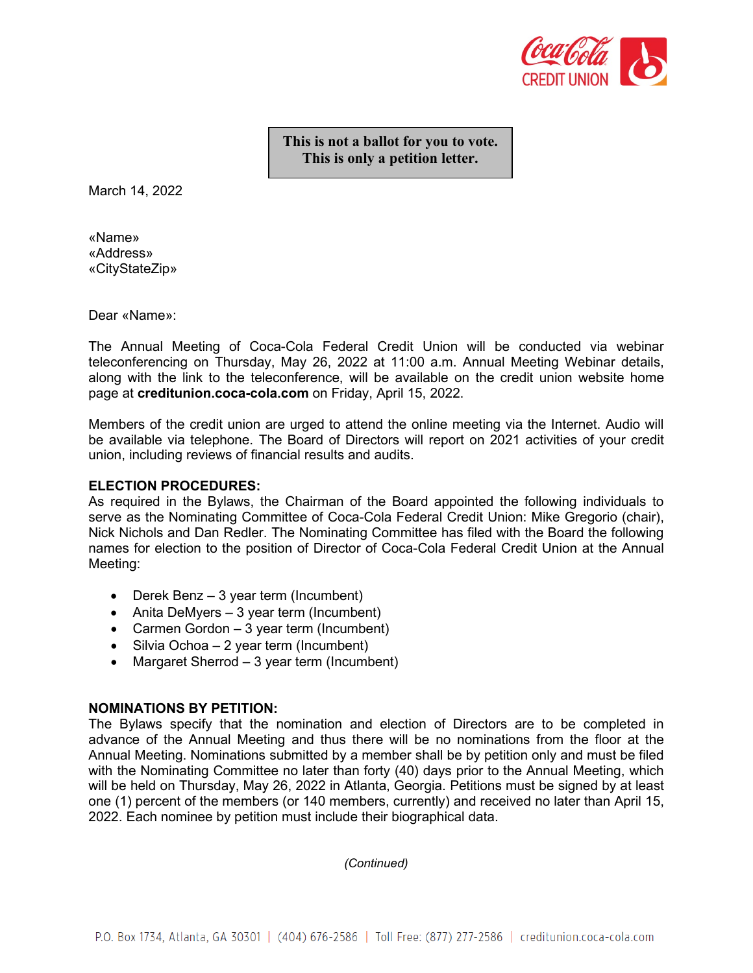

**This is not a ballot for you to vote. This is only a petition letter.**

March 14, 2022

«Name» «Address» «CityStateZip»

Dear «Name»:

The Annual Meeting of Coca-Cola Federal Credit Union will be conducted via webinar teleconferencing on Thursday, May 26, 2022 at 11:00 a.m. Annual Meeting Webinar details, along with the link to the teleconference, will be available on the credit union website home page at **creditunion.coca-cola.com** on Friday, April 15, 2022.

Members of the credit union are urged to attend the online meeting via the Internet. Audio will be available via telephone. The Board of Directors will report on 2021 activities of your credit union, including reviews of financial results and audits.

#### **ELECTION PROCEDURES:**

As required in the Bylaws, the Chairman of the Board appointed the following individuals to serve as the Nominating Committee of Coca-Cola Federal Credit Union: Mike Gregorio (chair), Nick Nichols and Dan Redler. The Nominating Committee has filed with the Board the following names for election to the position of Director of Coca-Cola Federal Credit Union at the Annual Meeting:

- Derek Benz 3 year term (Incumbent)
- Anita DeMyers 3 year term (Incumbent)
- Carmen Gordon 3 year term (Incumbent)
- Silvia Ochoa 2 year term (Incumbent)
- Margaret Sherrod 3 year term (Incumbent)

#### **NOMINATIONS BY PETITION:**

The Bylaws specify that the nomination and election of Directors are to be completed in advance of the Annual Meeting and thus there will be no nominations from the floor at the Annual Meeting. Nominations submitted by a member shall be by petition only and must be filed with the Nominating Committee no later than forty (40) days prior to the Annual Meeting, which will be held on Thursday, May 26, 2022 in Atlanta, Georgia. Petitions must be signed by at least one (1) percent of the members (or 140 members, currently) and received no later than April 15, 2022. Each nominee by petition must include their biographical data.

*(Continued)*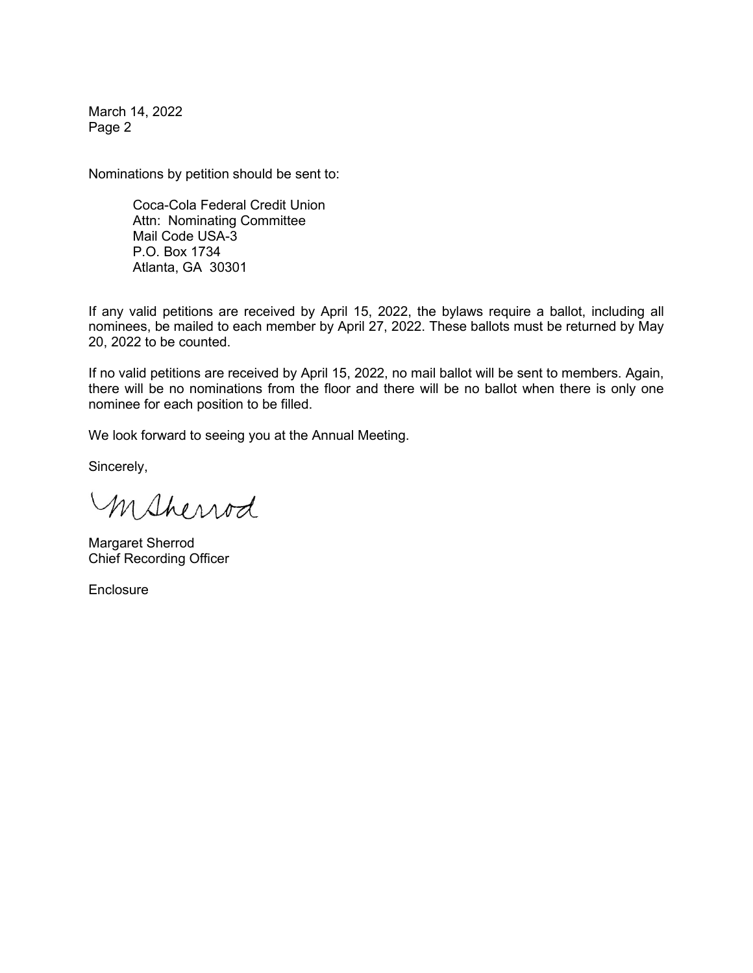March 14, 2022 Page 2

Nominations by petition should be sent to:

Coca-Cola Federal Credit Union Attn: Nominating Committee Mail Code USA-3 P.O. Box 1734 Atlanta, GA 30301

If any valid petitions are received by April 15, 2022, the bylaws require a ballot, including all nominees, be mailed to each member by April 27, 2022. These ballots must be returned by May 20, 2022 to be counted.

If no valid petitions are received by April 15, 2022, no mail ballot will be sent to members. Again, there will be no nominations from the floor and there will be no ballot when there is only one nominee for each position to be filled.

We look forward to seeing you at the Annual Meeting.

Sincerely,

Msherrod

Margaret Sherrod Chief Recording Officer

**Enclosure**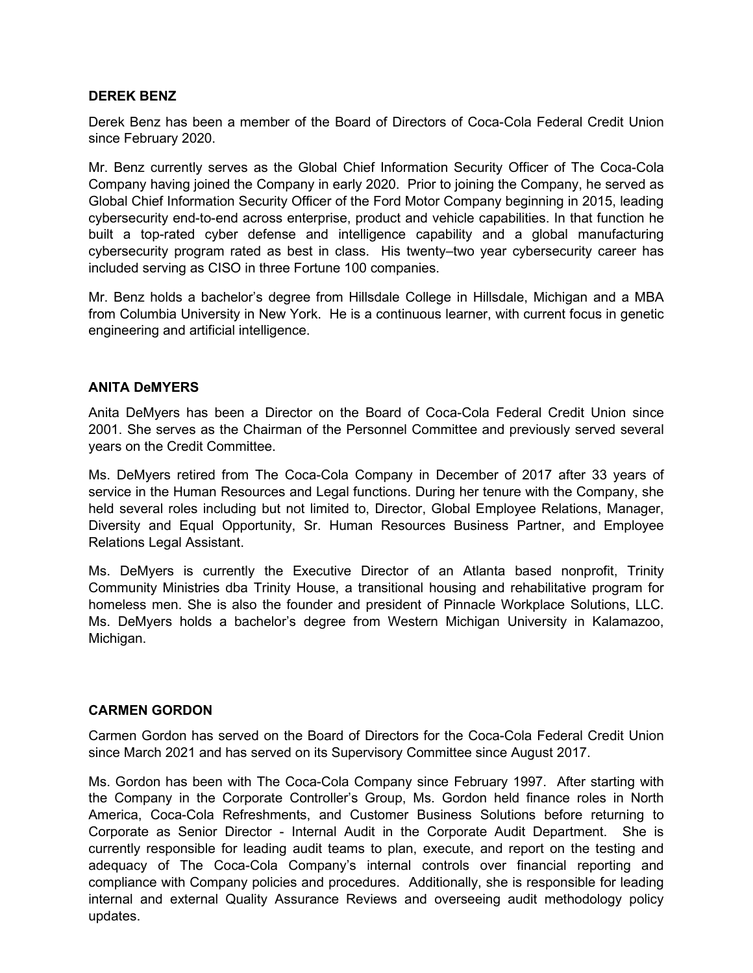## **DEREK BENZ**

Derek Benz has been a member of the Board of Directors of Coca-Cola Federal Credit Union since February 2020.

Mr. Benz currently serves as the Global Chief Information Security Officer of The Coca-Cola Company having joined the Company in early 2020. Prior to joining the Company, he served as Global Chief Information Security Officer of the Ford Motor Company beginning in 2015, leading cybersecurity end-to-end across enterprise, product and vehicle capabilities. In that function he built a top-rated cyber defense and intelligence capability and a global manufacturing cybersecurity program rated as best in class. His twenty–two year cybersecurity career has included serving as CISO in three Fortune 100 companies.

Mr. Benz holds a bachelor's degree from Hillsdale College in Hillsdale, Michigan and a MBA from Columbia University in New York. He is a continuous learner, with current focus in genetic engineering and artificial intelligence.

## **ANITA DeMYERS**

Anita DeMyers has been a Director on the Board of Coca-Cola Federal Credit Union since 2001. She serves as the Chairman of the Personnel Committee and previously served several years on the Credit Committee.

Ms. DeMyers retired from The Coca-Cola Company in December of 2017 after 33 years of service in the Human Resources and Legal functions. During her tenure with the Company, she held several roles including but not limited to, Director, Global Employee Relations, Manager, Diversity and Equal Opportunity, Sr. Human Resources Business Partner, and Employee Relations Legal Assistant.

Ms. DeMyers is currently the Executive Director of an Atlanta based nonprofit, Trinity Community Ministries dba Trinity House, a transitional housing and rehabilitative program for homeless men. She is also the founder and president of Pinnacle Workplace Solutions, LLC. Ms. DeMyers holds a bachelor's degree from Western Michigan University in Kalamazoo, Michigan.

## **CARMEN GORDON**

Carmen Gordon has served on the Board of Directors for the Coca-Cola Federal Credit Union since March 2021 and has served on its Supervisory Committee since August 2017.

Ms. Gordon has been with The Coca-Cola Company since February 1997. After starting with the Company in the Corporate Controller's Group, Ms. Gordon held finance roles in North America, Coca-Cola Refreshments, and Customer Business Solutions before returning to Corporate as Senior Director - Internal Audit in the Corporate Audit Department. She is currently responsible for leading audit teams to plan, execute, and report on the testing and adequacy of The Coca-Cola Company's internal controls over financial reporting and compliance with Company policies and procedures. Additionally, she is responsible for leading internal and external Quality Assurance Reviews and overseeing audit methodology policy updates.